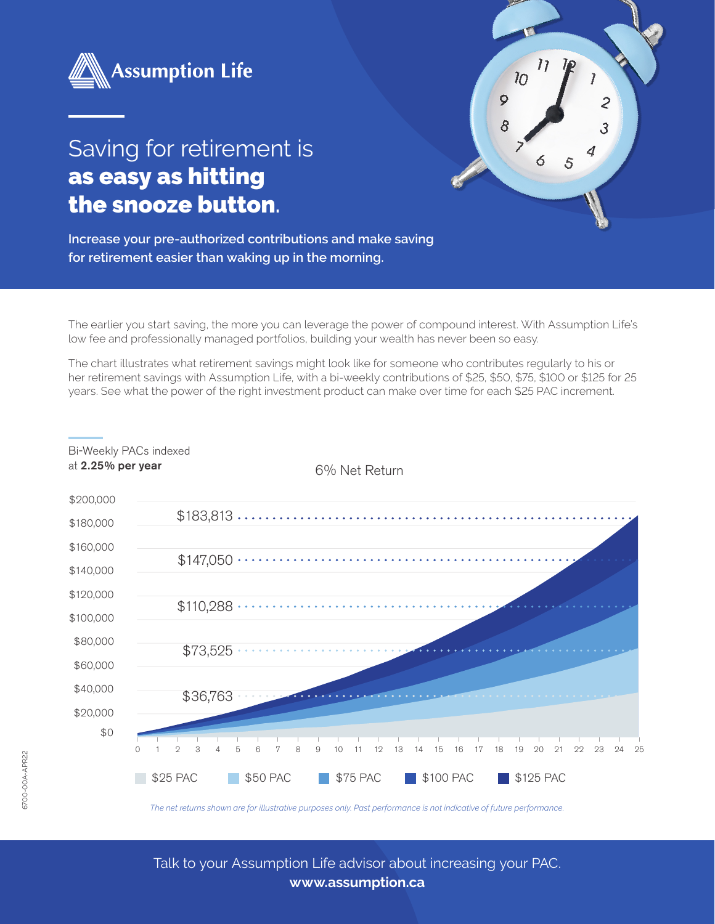



**Increase your pre-authorized contributions and make saving for retirement easier than waking up in the morning.**

The earlier you start saving, the more you can leverage the power of compound interest. With Assumption Life's low fee and professionally managed portfolios, building your wealth has never been so easy.

 $\overline{11}$ 

 $\overline{10}$ 

 $\overline{Q}$ 

8

The chart illustrates what retirement savings might look like for someone who contributes regularly to his or her retirement savings with Assumption Life, with a bi-weekly contributions of \$25, \$50, \$75, \$100 or \$125 for 25 years. See what the power of the right investment product can make over time for each \$25 PAC increment.



Bi-Weekly PACs indexed

*The net returns shown are for illustrative purposes only. Past performance is not indicative of future performance.* 

Talk to your Assumption Life advisor about increasing your PAC. **www.assumption.ca**